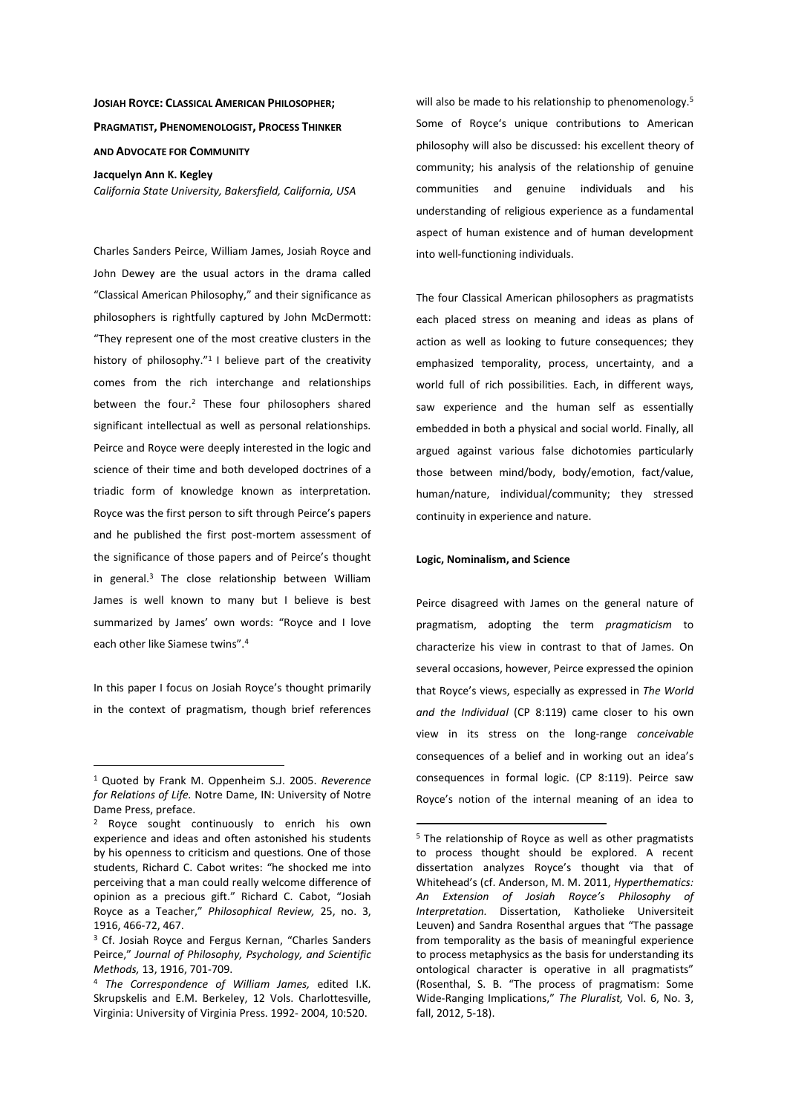# **JOSIAH ROYCE: CLASSICAL AMERICAN PHILOSOPHER; PRAGMATIST, PHENOMENOLOGIST, PROCESS THINKER AND ADVOCATE FOR COMMUNITY**

**Jacquelyn Ann K. Kegley** 

*California State University, Bakersfield, California, USA* 

Charles Sanders Peirce, William James, Josiah Royce and John Dewey are the usual actors in the drama called "Classical American Philosophy," and their significance as philosophers is rightfully captured by John McDermott: "They represent one of the most creative clusters in the history of philosophy." $1$  believe part of the creativity comes from the rich interchange and relationships between the four.<sup>2</sup> These four philosophers shared significant intellectual as well as personal relationships. Peirce and Royce were deeply interested in the logic and science of their time and both developed doctrines of a triadic form of knowledge known as interpretation. Royce was the first person to sift through Peirce's papers and he published the first post-mortem assessment of the significance of those papers and of Peirce's thought in general.<sup>3</sup> The close relationship between William James is well known to many but I believe is best summarized by James' own words: "Royce and I love each other like Siamese twins" 4

In this paper I focus on Josiah Royce's thought primarily in the context of pragmatism, though brief references

 $\overline{a}$ 

will also be made to his relationship to phenomenology.<sup>5</sup> Some of Royce's unique contributions to American philosophy will also be discussed: his excellent theory of community; his analysis of the relationship of genuine communities and genuine individuals and his understanding of religious experience as a fundamental aspect of human existence and of human development into well-functioning individuals.

The four Classical American philosophers as pragmatists each placed stress on meaning and ideas as plans of action as well as looking to future consequences; they emphasized temporality, process, uncertainty, and a world full of rich possibilities. Each, in different ways, saw experience and the human self as essentially embedded in both a physical and social world. Finally, all argued against various false dichotomies particularly those between mind/body, body/emotion, fact/value, human/nature, individual/community; they stressed continuity in experience and nature.

#### **Logic, Nominalism, and Science**

 $\overline{a}$ 

Peirce disagreed with James on the general nature of pragmatism, adopting the term *pragmaticism* to characterize his view in contrast to that of James. On several occasions, however, Peirce expressed the opinion that Royce's views, especially as expressed in *The World and the Individual* (CP 8:119) came closer to his own view in its stress on the long-range *conceivable* consequences of a belief and in working out an idea's consequences in formal logic. (CP 8:119). Peirce saw Royce's notion of the internal meaning of an idea to

<sup>1</sup> Quoted by Frank M. Oppenheim S.J. 2005. *Reverence for Relations of Life.* Notre Dame, IN: University of Notre Dame Press, preface.

<sup>2</sup> Royce sought continuously to enrich his own experience and ideas and often astonished his students by his openness to criticism and questions. One of those students, Richard C. Cabot writes: "he shocked me into perceiving that a man could really welcome difference of opinion as a precious gift." Richard C. Cabot, "Josiah Royce as a Teacher," *Philosophical Review,* 25, no. 3, 1916, 466-72, 467.

<sup>&</sup>lt;sup>3</sup> Cf. Josiah Royce and Fergus Kernan, "Charles Sanders Peirce," *Journal of Philosophy, Psychology, and Scientific Methods,* 13, 1916, 701-709.

<sup>4</sup> *The Correspondence of William James,* edited I.K. Skrupskelis and E.M. Berkeley, 12 Vols. Charlottesville, Virginia: University of Virginia Press. 1992- 2004, 10:520.

<sup>5</sup> The relationship of Royce as well as other pragmatists to process thought should be explored. A recent dissertation analyzes Royce's thought via that of Whitehead's (cf. Anderson, M. M. 2011, *Hyperthematics: An Extension of Josiah Royce's Philosophy of Interpretation.* Dissertation, Katholieke Universiteit Leuven) and Sandra Rosenthal argues that "The passage from temporality as the basis of meaningful experience to process metaphysics as the basis for understanding its ontological character is operative in all pragmatists" (Rosenthal, S. B. "The process of pragmatism: Some Wide-Ranging Implications," *The Pluralist,* Vol. 6, No. 3, fall, 2012, 5-18).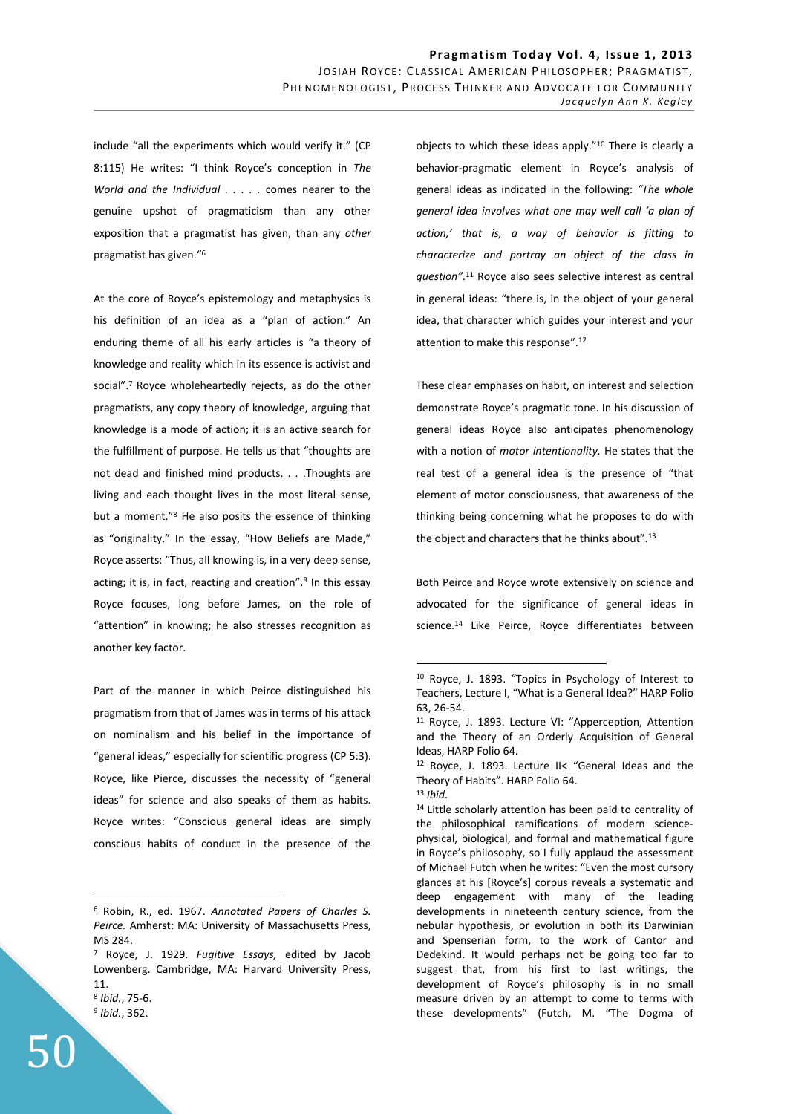include "all the experiments which would verify it." (CP 8:115) He writes: "I think Royce's conception in *The World and the Individual . . . . .* comes nearer to the genuine upshot of pragmaticism than any other exposition that a pragmatist has given, than any *other* pragmatist has given."<sup>6</sup>

At the core of Royce's epistemology and metaphysics is his definition of an idea as a "plan of action." An enduring theme of all his early articles is "a theory of knowledge and reality which in its essence is activist and social".<sup>7</sup> Royce wholeheartedly rejects, as do the other pragmatists, any copy theory of knowledge, arguing that knowledge is a mode of action; it is an active search for the fulfillment of purpose. He tells us that "thoughts are not dead and finished mind products. . . .Thoughts are living and each thought lives in the most literal sense, but a moment."<sup>8</sup> He also posits the essence of thinking as "originality." In the essay, "How Beliefs are Made," Royce asserts: "Thus, all knowing is, in a very deep sense, acting; it is, in fact, reacting and creation".<sup>9</sup> In this essay Royce focuses, long before James, on the role of "attention" in knowing; he also stresses recognition as another key factor.

Part of the manner in which Peirce distinguished his pragmatism from that of James was in terms of his attack on nominalism and his belief in the importance of "general ideas," especially for scientific progress (CP 5:3). Royce, like Pierce, discusses the necessity of "general ideas" for science and also speaks of them as habits. Royce writes: "Conscious general ideas are simply conscious habits of conduct in the presence of the

 $\overline{a}$ 

objects to which these ideas apply."<sup>10</sup> There is clearly a behavior-pragmatic element in Royce's analysis of general ideas as indicated in the following: *"The whole general idea involves what one may well call 'a plan of action,' that is, a way of behavior is fitting to characterize and portray an object of the class in question"*. <sup>11</sup> Royce also sees selective interest as central in general ideas: "there is, in the object of your general idea, that character which guides your interest and your attention to make this response".<sup>12</sup>

These clear emphases on habit, on interest and selection demonstrate Royce's pragmatic tone. In his discussion of general ideas Royce also anticipates phenomenology with a notion of *motor intentionality.* He states that the real test of a general idea is the presence of "that element of motor consciousness, that awareness of the thinking being concerning what he proposes to do with the object and characters that he thinks about".<sup>13</sup>

Both Peirce and Royce wrote extensively on science and advocated for the significance of general ideas in science.<sup>14</sup> Like Peirce, Royce differentiates between

 $\overline{a}$ 

<sup>14</sup> Little scholarly attention has been paid to centrality of the philosophical ramifications of modern sciencephysical, biological, and formal and mathematical figure in Royce's philosophy, so I fully applaud the assessment of Michael Futch when he writes: "Even the most cursory glances at his [Royce's] corpus reveals a systematic and deep engagement with many of the leading developments in nineteenth century science, from the nebular hypothesis, or evolution in both its Darwinian and Spenserian form, to the work of Cantor and Dedekind. It would perhaps not be going too far to suggest that, from his first to last writings, the development of Royce's philosophy is in no small measure driven by an attempt to come to terms with these developments" (Futch, M. "The Dogma of

<sup>6</sup> Robin, R., ed. 1967. *Annotated Papers of Charles S. Peirce.* Amherst: MA: University of Massachusetts Press, MS 284.

<sup>7</sup> Royce, J. 1929. *Fugitive Essays,* edited by Jacob Lowenberg. Cambridge, MA: Harvard University Press, 11. 8 *Ibid.*, 75-6.

<sup>9</sup> *Ibid.*, 362.

<sup>10</sup> Royce, J. 1893. "Topics in Psychology of Interest to Teachers, Lecture I, "What is a General Idea?" HARP Folio 63, 26-54.

<sup>11</sup> Royce, J. 1893. Lecture VI: "Apperception, Attention and the Theory of an Orderly Acquisition of General Ideas, HARP Folio 64.

<sup>12</sup> Royce, J. 1893. Lecture II< "General Ideas and the Theory of Habits". HARP Folio 64.

<sup>13</sup> *Ibid*.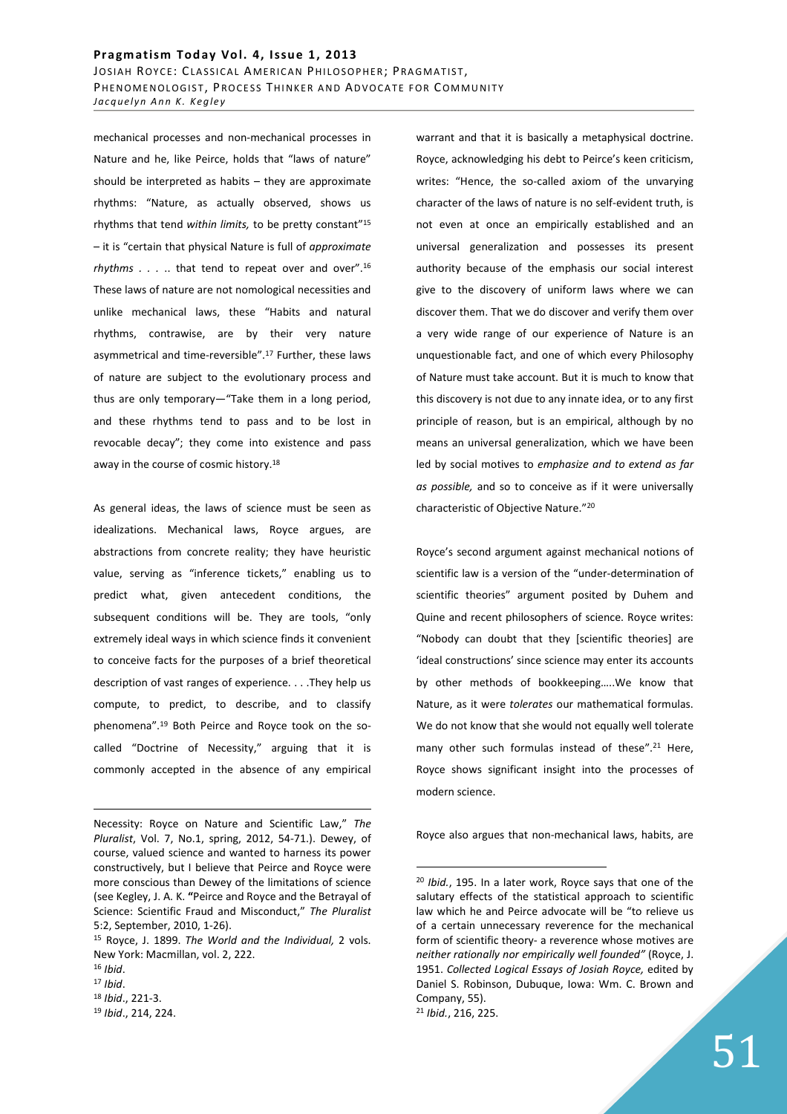### Pragmatism Today Vol. 4, Issue 1, 2013

JOSIAH ROYCE: CLASSICAL AMERICAN PHILOSOPHER; PRAGMATIST, PHENOMENOLOGIST, PROCESS THINKER AND ADVOCATE FOR COMMUNITY *Jacquelyn Ann K. Kegley* 

mechanical processes and non-mechanical processes in Nature and he, like Peirce, holds that "laws of nature" should be interpreted as habits  $-$  they are approximate rhythms: "Nature, as actually observed, shows us rhythms that tend *within limits,* to be pretty constant"<sup>15</sup> – it is "certain that physical Nature is full of *approximate rhythms . . .* .. that tend to repeat over and over".<sup>16</sup> These laws of nature are not nomological necessities and unlike mechanical laws, these "Habits and natural rhythms, contrawise, are by their very nature asymmetrical and time-reversible".<sup>17</sup> Further, these laws of nature are subject to the evolutionary process and thus are only temporary—"Take them in a long period, and these rhythms tend to pass and to be lost in revocable decay"; they come into existence and pass away in the course of cosmic history.<sup>18</sup>

As general ideas, the laws of science must be seen as idealizations. Mechanical laws, Royce argues, are abstractions from concrete reality; they have heuristic value, serving as "inference tickets," enabling us to predict what, given antecedent conditions, the subsequent conditions will be. They are tools, "only extremely ideal ways in which science finds it convenient to conceive facts for the purposes of a brief theoretical description of vast ranges of experience. . . .They help us compute, to predict, to describe, and to classify phenomena".19 Both Peirce and Royce took on the socalled "Doctrine of Necessity," arguing that it is commonly accepted in the absence of any empirical

<u>.</u>

<sup>17</sup> *Ibid*.

<sup>19</sup> *Ibid*., 214, 224.

warrant and that it is basically a metaphysical doctrine. Royce, acknowledging his debt to Peirce's keen criticism, writes: "Hence, the so-called axiom of the unvarying character of the laws of nature is no self-evident truth, is not even at once an empirically established and an universal generalization and possesses its present authority because of the emphasis our social interest give to the discovery of uniform laws where we can discover them. That we do discover and verify them over a very wide range of our experience of Nature is an unquestionable fact, and one of which every Philosophy of Nature must take account. But it is much to know that this discovery is not due to any innate idea, or to any first principle of reason, but is an empirical, although by no means an universal generalization, which we have been led by social motives to *emphasize and to extend as far as possible,* and so to conceive as if it were universally characteristic of Objective Nature."<sup>20</sup>

Royce's second argument against mechanical notions of scientific law is a version of the "under-determination of scientific theories" argument posited by Duhem and Quine and recent philosophers of science. Royce writes: "Nobody can doubt that they [scientific theories] are 'ideal constructions' since science may enter its accounts by other methods of bookkeeping…..We know that Nature, as it were *tolerates* our mathematical formulas. We do not know that she would not equally well tolerate many other such formulas instead of these".<sup>21</sup> Here, Royce shows significant insight into the processes of modern science.

Royce also argues that non-mechanical laws, habits, are

Necessity: Royce on Nature and Scientific Law," *The Pluralist*, Vol. 7, No.1, spring, 2012, 54-71.). Dewey, of course, valued science and wanted to harness its power constructively, but I believe that Peirce and Royce were more conscious than Dewey of the limitations of science (see Kegley, J. A. K. **"**Peirce and Royce and the Betrayal of Science: Scientific Fraud and Misconduct," *The Pluralist* 5:2, September, 2010, 1-26).

<sup>15</sup> Royce, J. 1899. *The World and the Individual,* 2 vols. New York: Macmillan, vol. 2, 222.

<sup>16</sup> *Ibid*.

<sup>18</sup> *Ibid*., 221-3.

<sup>20</sup> *Ibid.*, 195. In a later work, Royce says that one of the salutary effects of the statistical approach to scientific law which he and Peirce advocate will be "to relieve us of a certain unnecessary reverence for the mechanical form of scientific theory- a reverence whose motives are *neither rationally nor empirically well founded"* (Royce, J. 1951. *Collected Logical Essays of Josiah Royce,* edited by Daniel S. Robinson, Dubuque, Iowa: Wm. C. Brown and Company, 55). <sup>21</sup> *Ibid.*, 216, 225.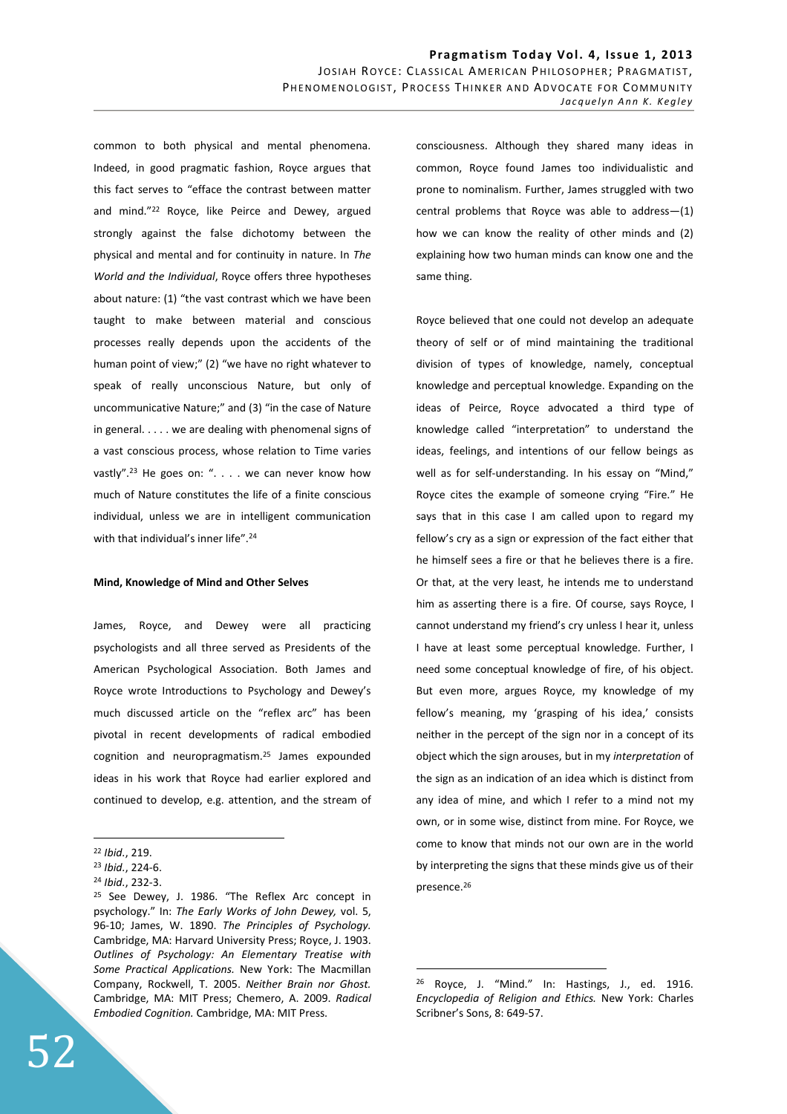common to both physical and mental phenomena. Indeed, in good pragmatic fashion, Royce argues that this fact serves to "efface the contrast between matter and mind."<sup>22</sup> Royce, like Peirce and Dewey, argued strongly against the false dichotomy between the physical and mental and for continuity in nature. In *The World and the Individual*, Royce offers three hypotheses about nature: (1) "the vast contrast which we have been taught to make between material and conscious processes really depends upon the accidents of the human point of view;" (2) "we have no right whatever to speak of really unconscious Nature, but only of uncommunicative Nature;" and (3) "in the case of Nature in general. . . . . we are dealing with phenomenal signs of a vast conscious process, whose relation to Time varies vastly".<sup>23</sup> He goes on: ". . . . we can never know how much of Nature constitutes the life of a finite conscious individual, unless we are in intelligent communication with that individual's inner life".<sup>24</sup>

#### **Mind, Knowledge of Mind and Other Selves**

James, Royce, and Dewey were all practicing psychologists and all three served as Presidents of the American Psychological Association. Both James and Royce wrote Introductions to Psychology and Dewey's much discussed article on the "reflex arc" has been pivotal in recent developments of radical embodied cognition and neuropragmatism.<sup>25</sup> James expounded ideas in his work that Royce had earlier explored and continued to develop, e.g. attention, and the stream of

 $\overline{a}$ 

consciousness. Although they shared many ideas in common, Royce found James too individualistic and prone to nominalism. Further, James struggled with two central problems that Royce was able to address—(1) how we can know the reality of other minds and (2) explaining how two human minds can know one and the same thing.

Royce believed that one could not develop an adequate theory of self or of mind maintaining the traditional division of types of knowledge, namely, conceptual knowledge and perceptual knowledge. Expanding on the ideas of Peirce, Royce advocated a third type of knowledge called "interpretation" to understand the ideas, feelings, and intentions of our fellow beings as well as for self-understanding. In his essay on "Mind," Royce cites the example of someone crying "Fire." He says that in this case I am called upon to regard my fellow's cry as a sign or expression of the fact either that he himself sees a fire or that he believes there is a fire. Or that, at the very least, he intends me to understand him as asserting there is a fire. Of course, says Royce, I cannot understand my friend's cry unless I hear it, unless I have at least some perceptual knowledge. Further, I need some conceptual knowledge of fire, of his object. But even more, argues Royce, my knowledge of my fellow's meaning, my 'grasping of his idea,' consists neither in the percept of the sign nor in a concept of its object which the sign arouses, but in my *interpretation* of the sign as an indication of an idea which is distinct from any idea of mine, and which I refer to a mind not my own, or in some wise, distinct from mine. For Royce, we come to know that minds not our own are in the world by interpreting the signs that these minds give us of their presence.<sup>26</sup>

<sup>22</sup> *Ibid.*, 219.

<sup>23</sup> *Ibid.*, 224-6.

<sup>24</sup> *Ibid.*, 232-3.

<sup>&</sup>lt;sup>25</sup> See Dewey, J. 1986. "The Reflex Arc concept in psychology." In: *The Early Works of John Dewey,* vol. 5, 96-10; James, W. 1890. *The Principles of Psychology.*  Cambridge, MA: Harvard University Press; Royce, J. 1903. *Outlines of Psychology: An Elementary Treatise with Some Practical Applications.* New York: The Macmillan Company, Rockwell, T. 2005. *Neither Brain nor Ghost.*  Cambridge, MA: MIT Press; Chemero, A. 2009. *Radical Embodied Cognition.* Cambridge, MA: MIT Press.

<sup>26</sup> Royce, J. "Mind." In: Hastings, J., ed. 1916. *Encyclopedia of Religion and Ethics.* New York: Charles Scribner's Sons, 8: 649-57.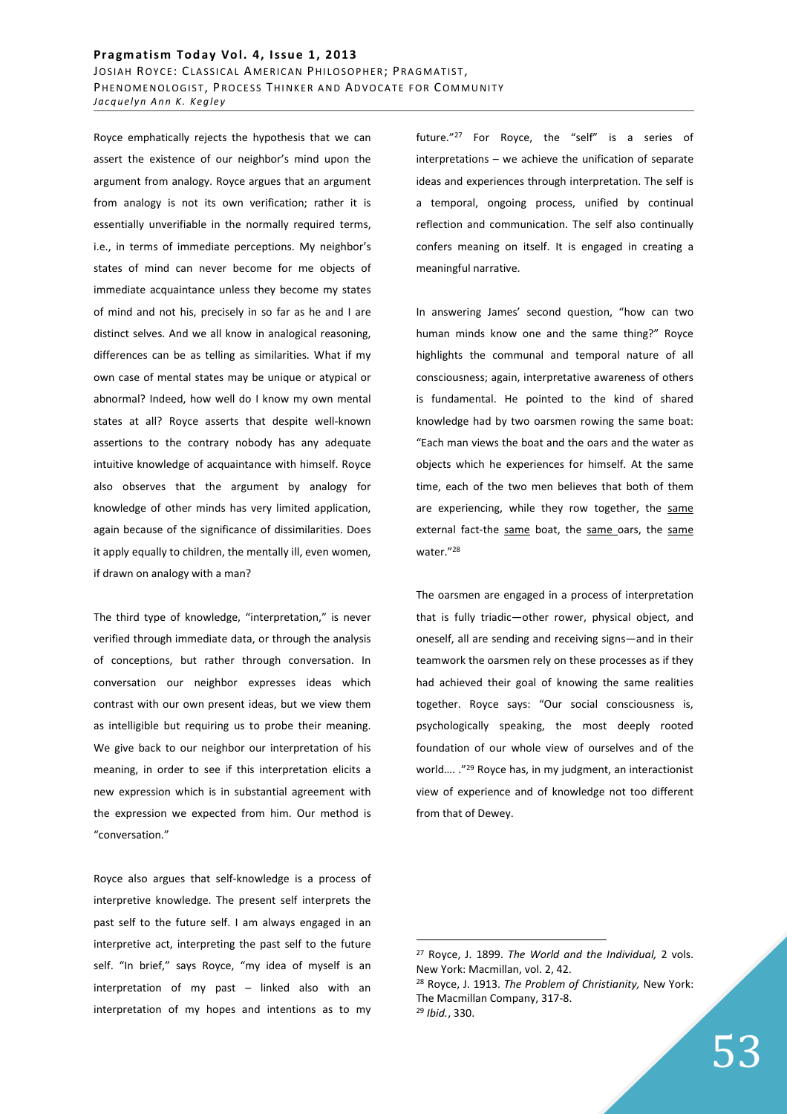### Pragmatism Today Vol. 4, Issue 1, 2013 JOSIAH ROYCE: CLASSICAL AMERICAN PHILOSOPHER; PRAGMATIST, PHENOMENOLOGIST, PROCESS THINKER AND ADVOCATE FOR COMMUNITY *Jacquelyn Ann K. Kegley*

Royce emphatically rejects the hypothesis that we can assert the existence of our neighbor's mind upon the argument from analogy. Royce argues that an argument from analogy is not its own verification; rather it is essentially unverifiable in the normally required terms, i.e., in terms of immediate perceptions. My neighbor's states of mind can never become for me objects of immediate acquaintance unless they become my states of mind and not his, precisely in so far as he and I are distinct selves. And we all know in analogical reasoning, differences can be as telling as similarities. What if my own case of mental states may be unique or atypical or abnormal? Indeed, how well do I know my own mental states at all? Royce asserts that despite well-known assertions to the contrary nobody has any adequate intuitive knowledge of acquaintance with himself. Royce also observes that the argument by analogy for knowledge of other minds has very limited application, again because of the significance of dissimilarities. Does it apply equally to children, the mentally ill, even women, if drawn on analogy with a man?

The third type of knowledge, "interpretation," is never verified through immediate data, or through the analysis of conceptions, but rather through conversation. In conversation our neighbor expresses ideas which contrast with our own present ideas, but we view them as intelligible but requiring us to probe their meaning. We give back to our neighbor our interpretation of his meaning, in order to see if this interpretation elicits a new expression which is in substantial agreement with the expression we expected from him. Our method is "conversation."

Royce also argues that self-knowledge is a process of interpretive knowledge. The present self interprets the past self to the future self. I am always engaged in an interpretive act, interpreting the past self to the future self. "In brief," says Royce, "my idea of myself is an interpretation of my past – linked also with an interpretation of my hopes and intentions as to my future."<sup>27</sup> For Royce, the "self" is a series of interpretations – we achieve the unification of separate ideas and experiences through interpretation. The self is a temporal, ongoing process, unified by continual reflection and communication. The self also continually confers meaning on itself. It is engaged in creating a meaningful narrative.

In answering James' second question, "how can two human minds know one and the same thing?" Royce highlights the communal and temporal nature of all consciousness; again, interpretative awareness of others is fundamental. He pointed to the kind of shared knowledge had by two oarsmen rowing the same boat: "Each man views the boat and the oars and the water as objects which he experiences for himself. At the same time, each of the two men believes that both of them are experiencing, while they row together, the same external fact-the same boat, the same oars, the same water."<sup>28</sup>

The oarsmen are engaged in a process of interpretation that is fully triadic—other rower, physical object, and oneself, all are sending and receiving signs—and in their teamwork the oarsmen rely on these processes as if they had achieved their goal of knowing the same realities together. Royce says: "Our social consciousness is, psychologically speaking, the most deeply rooted foundation of our whole view of ourselves and of the world.... ."<sup>29</sup> Royce has, in my judgment, an interactionist view of experience and of knowledge not too different from that of Dewey.

<sup>27</sup> Royce, J. 1899. *The World and the Individual,* 2 vols. New York: Macmillan, vol. 2, 42. <sup>28</sup> Royce, J. 1913. *The Problem of Christianity,* New York: The Macmillan Company, 317-8. <sup>29</sup> *Ibid.*, 330.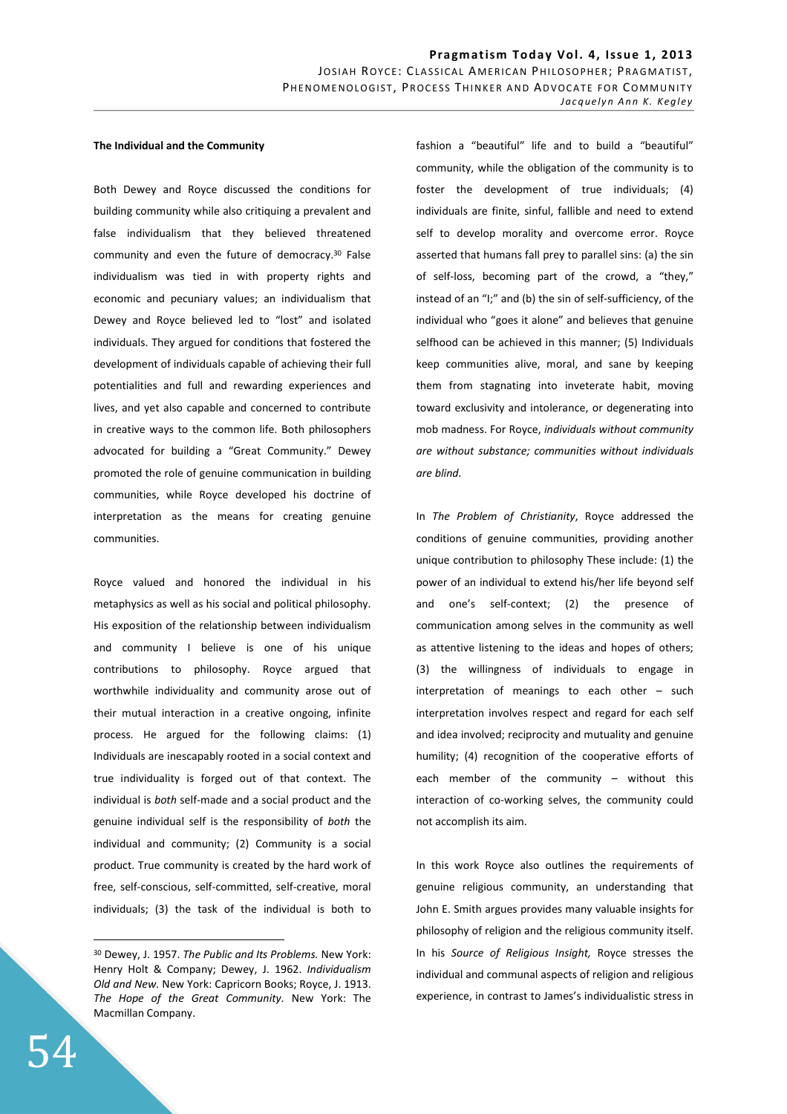#### **The Individual and the Community**

Both Dewey and Royce discussed the conditions for building community while also critiquing a prevalent and false individualism that they believed threatened community and even the future of democracy.<sup>30</sup> False individualism was tied in with property rights and economic and pecuniary values; an individualism that Dewey and Royce believed led to "lost" and isolated individuals. They argued for conditions that fostered the development of individuals capable of achieving their full potentialities and full and rewarding experiences and lives, and yet also capable and concerned to contribute in creative ways to the common life. Both philosophers advocated for building a "Great Community." Dewey promoted the role of genuine communication in building communities, while Royce developed his doctrine of interpretation as the means for creating genuine communities.

Royce valued and honored the individual in his metaphysics as well as his social and political philosophy. His exposition of the relationship between individualism and community I believe is one of his unique contributions to philosophy. Royce argued that worthwhile individuality and community arose out of their mutual interaction in a creative ongoing, infinite process. He argued for the following claims: (1) Individuals are inescapably rooted in a social context and true individuality is forged out of that context. The individual is *both* self-made and a social product and the genuine individual self is the responsibility of *both* the individual and community; (2) Community is a social product. True community is created by the hard work of free, self-conscious, self-committed, self-creative, moral individuals; (3) the task of the individual is both to

fashion a "beautiful" life and to build a "beautiful" community, while the obligation of the community is to foster the development of true individuals; (4) individuals are finite, sinful, fallible and need to extend self to develop morality and overcome error. Royce asserted that humans fall prey to parallel sins: (a) the sin of self-loss, becoming part of the crowd, a "they," instead of an "I;" and (b) the sin of self-sufficiency, of the individual who "goes it alone" and believes that genuine selfhood can be achieved in this manner; (5) Individuals keep communities alive, moral, and sane by keeping them from stagnating into inveterate habit, moving toward exclusivity and intolerance, or degenerating into mob madness. For Royce, *individuals without community are without substance; communities without individuals are blind.* 

In *The Problem of Christianity*, Royce addressed the conditions of genuine communities, providing another unique contribution to philosophy These include: (1) the power of an individual to extend his/her life beyond self and one's self-context; (2) the presence of communication among selves in the community as well as attentive listening to the ideas and hopes of others; (3) the willingness of individuals to engage in interpretation of meanings to each other – such interpretation involves respect and regard for each self and idea involved; reciprocity and mutuality and genuine humility; (4) recognition of the cooperative efforts of each member of the community – without this interaction of co-working selves, the community could not accomplish its aim.

In this work Royce also outlines the requirements of genuine religious community, an understanding that John E. Smith argues provides many valuable insights for philosophy of religion and the religious community itself. In his *Source of Religious Insight,* Royce stresses the individual and communal aspects of religion and religious experience, in contrast to James's individualistic stress in

<sup>30</sup> Dewey, J. 1957. *The Public and Its Problems.* New York: Henry Holt & Company; Dewey, J. 1962. *Individualism Old and New.* New York: Capricorn Books; Royce, J. 1913. *The Hope of the Great Community.* New York: The Macmillan Company.